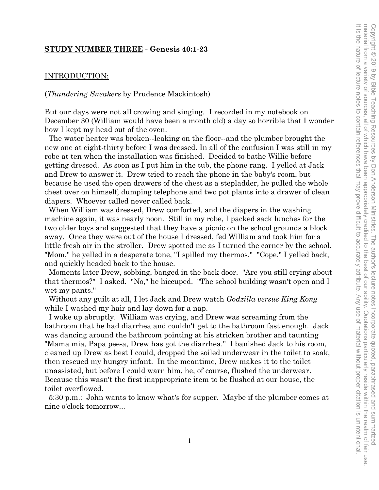### **STUDY NUMBER THREE - Genesis 40:1-23**

#### INTRODUCTION:

(*Thundering Sneakers* by Prudence Mackintosh)

But our days were not all crowing and singing. I recorded in my notebook on December 30 (William would have been a month old) a day so horrible that I wonder how I kept my head out of the oven.

 The water heater was broken--leaking on the floor--and the plumber brought the new one at eight-thirty before I was dressed. In all of the confusion I was still in my robe at ten when the installation was finished. Decided to bathe Willie before getting dressed. As soon as I put him in the tub, the phone rang. I yelled at Jack and Drew to answer it. Drew tried to reach the phone in the baby's room, but because he used the open drawers of the chest as a stepladder, he pulled the whole chest over on himself, dumping telephone and two pot plants into a drawer of clean diapers. Whoever called never called back.

 When William was dressed, Drew comforted, and the diapers in the washing machine again, it was nearly noon. Still in my robe, I packed sack lunches for the two older boys and suggested that they have a picnic on the school grounds a block away. Once they were out of the house I dressed, fed William and took him for a little fresh air in the stroller. Drew spotted me as I turned the corner by the school. "Mom," he yelled in a desperate tone, "I spilled my thermos." "Cope," I yelled back, and quickly headed back to the house.

 Moments later Drew, sobbing, banged in the back door. "Are you still crying about that thermos?" I asked. "No," he hiccuped. "The school building wasn't open and I wet my pants."

 Without any guilt at all, I let Jack and Drew watch *Godzilla versus King Kong* while I washed my hair and lay down for a nap.

 I woke up abruptly. William was crying, and Drew was screaming from the bathroom that he had diarrhea and couldn't get to the bathroom fast enough. Jack was dancing around the bathroom pointing at his stricken brother and taunting "Mama mia, Papa pee-a, Drew has got the diarrhea." I banished Jack to his room, cleaned up Drew as best I could, dropped the soiled underwear in the toilet to soak, then rescued my hungry infant. In the meantime, Drew makes it to the toilet unassisted, but before I could warn him, he, of course, flushed the underwear. Because this wasn't the first inappropriate item to be flushed at our house, the toilet overflowed.

 5:30 p.m.: John wants to know what's for supper. Maybe if the plumber comes at nine o'clock tomorrow...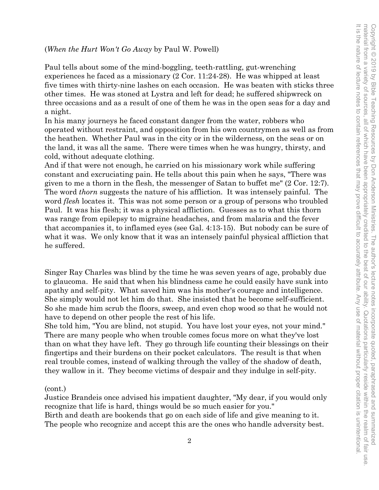#### (*When the Hurt Won't Go Away* by Paul W. Powell)

Paul tells about some of the mind-boggling, teeth-rattling, gut-wrenching experiences he faced as a missionary (2 Cor. 11:24-28). He was whipped at least five times with thirty-nine lashes on each occasion. He was beaten with sticks three other times. He was stoned at Lystra and left for dead; he suffered shipwreck on three occasions and as a result of one of them he was in the open seas for a day and a night.

In his many journeys he faced constant danger from the water, robbers who operated without restraint, and opposition from his own countrymen as well as from the heathen. Whether Paul was in the city or in the wilderness, on the seas or on the land, it was all the same. There were times when he was hungry, thirsty, and cold, without adequate clothing.

And if that were not enough, he carried on his missionary work while suffering constant and excruciating pain. He tells about this pain when he says, "There was given to me a thorn in the flesh, the messenger of Satan to buffet me" (2 Cor. 12:7). The word *thorn* suggests the nature of his affliction. It was intensely painful. The word *flesh* locates it. This was not some person or a group of persons who troubled Paul. It was his flesh; it was a physical affliction. Guesses as to what this thorn was range from epilepsy to migraine headaches, and from malaria and the fever that accompanies it, to inflamed eyes (see Gal. 4:13-15). But nobody can be sure of what it was. We only know that it was an intensely painful physical affliction that he suffered.

Singer Ray Charles was blind by the time he was seven years of age, probably due to glaucoma. He said that when his blindness came he could easily have sunk into apathy and self-pity. What saved him was his mother's courage and intelligence. She simply would not let him do that. She insisted that he become self-sufficient. So she made him scrub the floors, sweep, and even chop wood so that he would not have to depend on other people the rest of his life.

She told him, "You are blind, not stupid. You have lost your eyes, not your mind." There are many people who when trouble comes focus more on what they've lost than on what they have left. They go through life counting their blessings on their fingertips and their burdens on their pocket calculators. The result is that when real trouble comes, instead of walking through the valley of the shadow of death, they wallow in it. They become victims of despair and they indulge in self-pity.

(cont.)

Justice Brandeis once advised his impatient daughter, "My dear, if you would only recognize that life is hard, things would be so much easier for you." Birth and death are bookends that go on each side of life and give meaning to it.

The people who recognize and accept this are the ones who handle adversity best.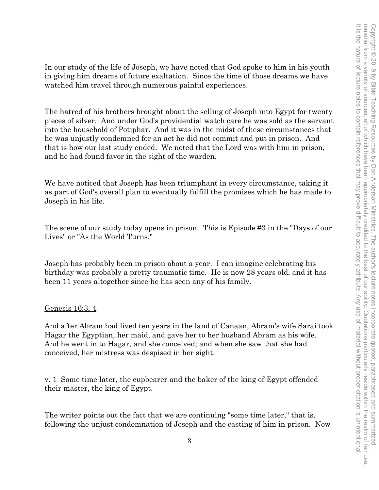In our study of the life of Joseph, we have noted that God spoke to him in his youth in giving him dreams of future exaltation. Since the time of those dreams we have watched him travel through numerous painful experiences.

The hatred of his brothers brought about the selling of Joseph into Egypt for twenty pieces of silver. And under God's providential watch care he was sold as the servant into the household of Potiphar. And it was in the midst of these circumstances that he was unjustly condemned for an act he did not commit and put in prison. And that is how our last study ended. We noted that the Lord was with him in prison, and he had found favor in the sight of the warden.

We have noticed that Joseph has been triumphant in every circumstance, taking it as part of God's overall plan to eventually fulfill the promises which he has made to Joseph in his life.

The scene of our study today opens in prison. This is Episode #3 in the "Days of our Lives" or "As the World Turns."

Joseph has probably been in prison about a year. I can imagine celebrating his birthday was probably a pretty traumatic time. He is now 28 years old, and it has been 11 years altogether since he has seen any of his family.

Genesis 16:3, 4

And after Abram had lived ten years in the land of Canaan, Abram's wife Sarai took Hagar the Egyptian, her maid, and gave her to her husband Abram as his wife. And he went in to Hagar, and she conceived; and when she saw that she had conceived, her mistress was despised in her sight.

v. 1 Some time later, the cupbearer and the baker of the king of Egypt offended their master, the king of Egypt.

The writer points out the fact that we are continuing "some time later," that is, following the unjust condemnation of Joseph and the casting of him in prison. Now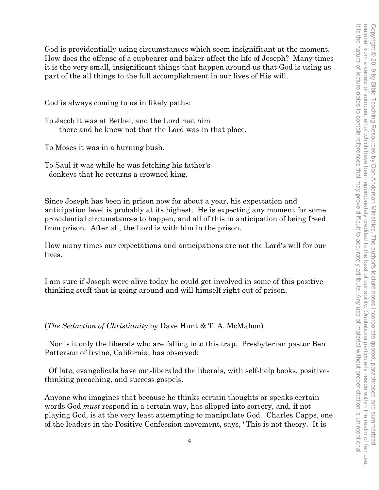God is providentially using circumstances which seem insignificant at the moment. How does the offense of a cupbearer and baker affect the life of Joseph? Many times it is the very small, insignificant things that happen around us that God is using as part of the all things to the full accomplishment in our lives of His will.

God is always coming to us in likely paths:

To Jacob it was at Bethel, and the Lord met him there and he knew not that the Lord was in that place.

To Moses it was in a burning bush.

To Saul it was while he was fetching his father's donkeys that he returns a crowned king.

Since Joseph has been in prison now for about a year, his expectation and anticipation level is probably at its highest. He is expecting any moment for some providential circumstances to happen, and all of this in anticipation of being freed from prison. After all, the Lord is with him in the prison.

How many times our expectations and anticipations are not the Lord's will for our lives.

I am sure if Joseph were alive today he could get involved in some of this positive thinking stuff that is going around and will himself right out of prison.

(*The Seduction of Christianity* by Dave Hunt & T. A. McMahon)

 Nor is it only the liberals who are falling into this trap. Presbyterian pastor Ben Patterson of Irvine, California, has observed:

 Of late, evangelicals have out-liberaled the liberals, with self-help books, positivethinking preaching, and success gospels.

Anyone who imagines that because he thinks certain thoughts or speaks certain words God *must* respond in a certain way, has slipped into sorcery, and, if not playing God, is at the very least attempting to manipulate God. Charles Capps, one of the leaders in the Positive Confession movement, says, "This is not theory. It is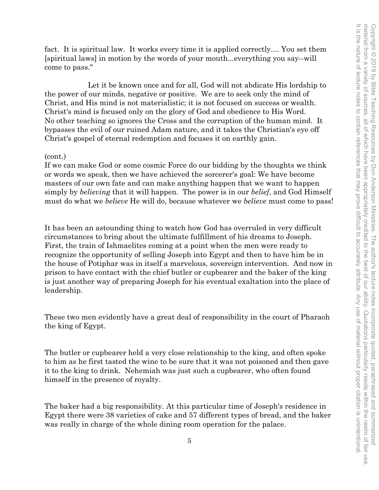fact. It is spiritual law. It works every time it is applied correctly.... You set them [spiritual laws] in motion by the words of your mouth...everything you say--will come to pass."

 Let it be known once and for all, God will not abdicate His lordship to the power of our minds, negative or positive. We are to seek only the mind of Christ, and His mind is not materialistic; it is not focused on success or wealth. Christ's mind is focused only on the glory of God and obedience to His Word. No other teaching so ignores the Cross and the corruption of the human mind. It bypasses the evil of our ruined Adam nature, and it takes the Christian's eye off Christ's gospel of eternal redemption and focuses it on earthly gain.

#### (cont.)

If we can make God or some cosmic Force do our bidding by the thoughts we think or words we speak, then we have achieved the sorcerer's goal: We have become masters of our own fate and can make anything happen that we want to happen simply by *believing* that it will happen. The power is in our *belief*, and God Himself must do what we *believe* He will do, because whatever we *believe* must come to pass!

It has been an astounding thing to watch how God has overruled in very difficult circumstances to bring about the ultimate fulfillment of his dreams to Joseph. First, the train of Ishmaelites coming at a point when the men were ready to recognize the opportunity of selling Joseph into Egypt and then to have him be in the house of Potiphar was in itself a marvelous, sovereign intervention. And now in prison to have contact with the chief butler or cupbearer and the baker of the king is just another way of preparing Joseph for his eventual exaltation into the place of leadership.

These two men evidently have a great deal of responsibility in the court of Pharaoh the king of Egypt.

The butler or cupbearer held a very close relationship to the king, and often spoke to him as he first tasted the wine to be sure that it was not poisoned and then gave it to the king to drink. Nehemiah was just such a cupbearer, who often found himself in the presence of royalty.

The baker had a big responsibility. At this particular time of Joseph's residence in Egypt there were 38 varieties of cake and 57 different types of bread, and the baker was really in charge of the whole dining room operation for the palace.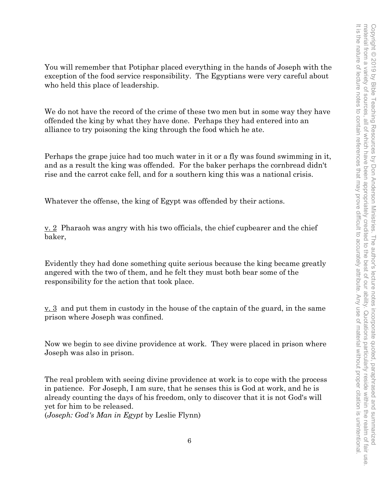You will remember that Potiphar placed everything in the hands of Joseph with the exception of the food service responsibility. The Egyptians were very careful about who held this place of leadership.

We do not have the record of the crime of these two men but in some way they have offended the king by what they have done. Perhaps they had entered into an alliance to try poisoning the king through the food which he ate.

Perhaps the grape juice had too much water in it or a fly was found swimming in it, and as a result the king was offended. For the baker perhaps the cornbread didn't rise and the carrot cake fell, and for a southern king this was a national crisis.

Whatever the offense, the king of Egypt was offended by their actions.

v. 2 Pharaoh was angry with his two officials, the chief cupbearer and the chief baker,

Evidently they had done something quite serious because the king became greatly angered with the two of them, and he felt they must both bear some of the responsibility for the action that took place.

<u>v. 3</u> and put them in custody in the house of the captain of the guard, in the same prison where Joseph was confined.

Now we begin to see divine providence at work. They were placed in prison where Joseph was also in prison.

The real problem with seeing divine providence at work is to cope with the process in patience. For Joseph, I am sure, that he senses this is God at work, and he is already counting the days of his freedom, only to discover that it is not God's will yet for him to be released.

(*Joseph: God's Man in Egypt* by Leslie Flynn)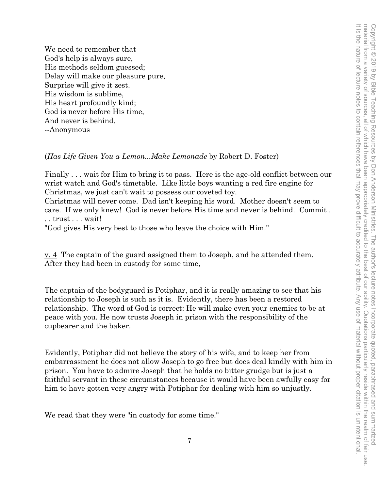We need to remember that God's help is always sure, His methods seldom guessed; Delay will make our pleasure pure, Surprise will give it zest. His wisdom is sublime, His heart profoundly kind; God is never before His time, And never is behind. --Anonymous

(*Has Life Given You a Lemon...Make Lemonade* by Robert D. Foster)

Finally . . . wait for Him to bring it to pass. Here is the age-old conflict between our wrist watch and God's timetable. Like little boys wanting a red fire engine for Christmas, we just can't wait to possess our coveted toy.

Christmas will never come. Dad isn't keeping his word. Mother doesn't seem to care. If we only knew! God is never before His time and never is behind. Commit . . . trust . . . wait!

"God gives His very best to those who leave the choice with Him."

 $\underline{v.}$  4 The captain of the guard assigned them to Joseph, and he attended them. After they had been in custody for some time,

The captain of the bodyguard is Potiphar, and it is really amazing to see that his relationship to Joseph is such as it is. Evidently, there has been a restored relationship. The word of God is correct: He will make even your enemies to be at peace with you. He now trusts Joseph in prison with the responsibility of the cupbearer and the baker.

Evidently, Potiphar did not believe the story of his wife, and to keep her from embarrassment he does not allow Joseph to go free but does deal kindly with him in prison. You have to admire Joseph that he holds no bitter grudge but is just a faithful servant in these circumstances because it would have been awfully easy for him to have gotten very angry with Potiphar for dealing with him so unjustly.

We read that they were "in custody for some time."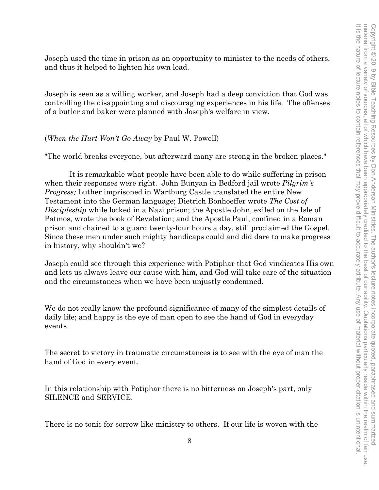Joseph used the time in prison as an opportunity to minister to the needs of others, and thus it helped to lighten his own load.

Joseph is seen as a willing worker, and Joseph had a deep conviction that God was controlling the disappointing and discouraging experiences in his life. The offenses of a butler and baker were planned with Joseph's welfare in view.

## (*When the Hurt Won't Go Away* by Paul W. Powell)

"The world breaks everyone, but afterward many are strong in the broken places."

 It is remarkable what people have been able to do while suffering in prison when their responses were right. John Bunyan in Bedford jail wrote *Pilgrim's Progress;* Luther imprisoned in Wartburg Castle translated the entire New Testament into the German language; Dietrich Bonhoeffer wrote *The Cost of Discipleship* while locked in a Nazi prison; the Apostle John, exiled on the Isle of Patmos, wrote the book of Revelation; and the Apostle Paul, confined in a Roman prison and chained to a guard twenty-four hours a day, still proclaimed the Gospel. Since these men under such mighty handicaps could and did dare to make progress in history, why shouldn't we?

Joseph could see through this experience with Potiphar that God vindicates His own and lets us always leave our cause with him, and God will take care of the situation and the circumstances when we have been unjustly condemned.

We do not really know the profound significance of many of the simplest details of daily life; and happy is the eye of man open to see the hand of God in everyday events.

The secret to victory in traumatic circumstances is to see with the eye of man the hand of God in every event.

In this relationship with Potiphar there is no bitterness on Joseph's part, only SILENCE and SERVICE.

There is no tonic for sorrow like ministry to others. If our life is woven with the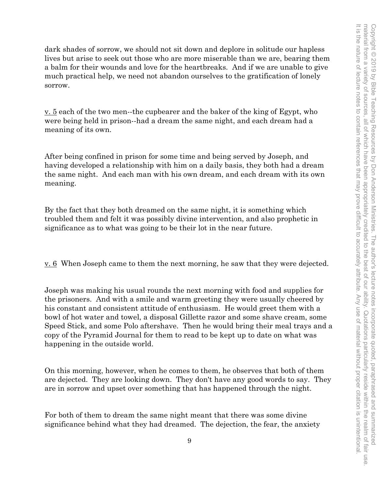dark shades of sorrow, we should not sit down and deplore in solitude our hapless lives but arise to seek out those who are more miserable than we are, bearing them a balm for their wounds and love for the heartbreaks. And if we are unable to give much practical help, we need not abandon ourselves to the gratification of lonely sorrow.

v. 5 each of the two men--the cupbearer and the baker of the king of Egypt, who were being held in prison--had a dream the same night, and each dream had a meaning of its own.

After being confined in prison for some time and being served by Joseph, and having developed a relationship with him on a daily basis, they both had a dream the same night. And each man with his own dream, and each dream with its own meaning.

By the fact that they both dreamed on the same night, it is something which troubled them and felt it was possibly divine intervention, and also prophetic in significance as to what was going to be their lot in the near future.

v. 6 When Joseph came to them the next morning, he saw that they were dejected.

Joseph was making his usual rounds the next morning with food and supplies for the prisoners. And with a smile and warm greeting they were usually cheered by his constant and consistent attitude of enthusiasm. He would greet them with a bowl of hot water and towel, a disposal Gillette razor and some shave cream, some Speed Stick, and some Polo aftershave. Then he would bring their meal trays and a copy of the Pyramid Journal for them to read to be kept up to date on what was happening in the outside world.

On this morning, however, when he comes to them, he observes that both of them are dejected. They are looking down. They don't have any good words to say. They are in sorrow and upset over something that has happened through the night.

For both of them to dream the same night meant that there was some divine significance behind what they had dreamed. The dejection, the fear, the anxiety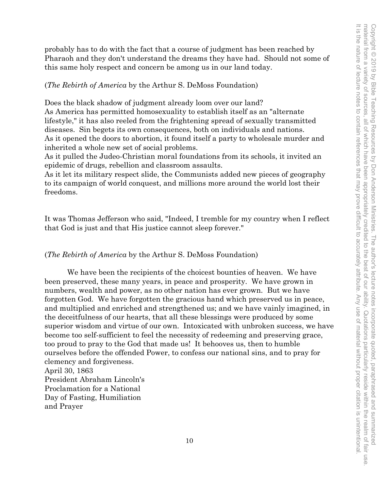probably has to do with the fact that a course of judgment has been reached by Pharaoh and they don't understand the dreams they have had. Should not some of this same holy respect and concern be among us in our land today.

#### (*The Rebirth of America* by the Arthur S. DeMoss Foundation)

Does the black shadow of judgment already loom over our land? As America has permitted homosexuality to establish itself as an "alternate lifestyle," it has also reeled from the frightening spread of sexually transmitted diseases. Sin begets its own consequences, both on individuals and nations. As it opened the doors to abortion, it found itself a party to wholesale murder and inherited a whole new set of social problems.

As it pulled the Judeo-Christian moral foundations from its schools, it invited an epidemic of drugs, rebellion and classroom assaults.

As it let its military respect slide, the Communists added new pieces of geography to its campaign of world conquest, and millions more around the world lost their freedoms.

It was Thomas Jefferson who said, "Indeed, I tremble for my country when I reflect that God is just and that His justice cannot sleep forever."

## (*The Rebirth of America* by the Arthur S. DeMoss Foundation)

 We have been the recipients of the choicest bounties of heaven. We have been preserved, these many years, in peace and prosperity. We have grown in numbers, wealth and power, as no other nation has ever grown. But we have forgotten God. We have forgotten the gracious hand which preserved us in peace, and multiplied and enriched and strengthened us; and we have vainly imagined, in the deceitfulness of our hearts, that all these blessings were produced by some superior wisdom and virtue of our own. Intoxicated with unbroken success, we have become too self-sufficient to feel the necessity of redeeming and preserving grace, too proud to pray to the God that made us! It behooves us, then to humble ourselves before the offended Power, to confess our national sins, and to pray for clemency and forgiveness. April 30, 1863 President Abraham Lincoln's

Proclamation for a National Day of Fasting, Humiliation and Prayer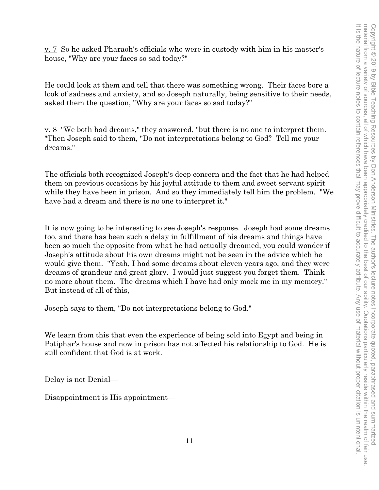v. 7 So he asked Pharaoh's officials who were in custody with him in his master's house, "Why are your faces so sad today?"

He could look at them and tell that there was something wrong. Their faces bore a look of sadness and anxiety, and so Joseph naturally, being sensitive to their needs, asked them the question, "Why are your faces so sad today?"

v. 8 "We both had dreams," they answered, "but there is no one to interpret them. "Then Joseph said to them, "Do not interpretations belong to God? Tell me your dreams."

The officials both recognized Joseph's deep concern and the fact that he had helped them on previous occasions by his joyful attitude to them and sweet servant spirit while they have been in prison. And so they immediately tell him the problem. "We have had a dream and there is no one to interpret it."

It is now going to be interesting to see Joseph's response. Joseph had some dreams too, and there has been such a delay in fulfillment of his dreams and things have been so much the opposite from what he had actually dreamed, you could wonder if Joseph's attitude about his own dreams might not be seen in the advice which he would give them. "Yeah, I had some dreams about eleven years ago, and they were dreams of grandeur and great glory. I would just suggest you forget them. Think no more about them. The dreams which I have had only mock me in my memory." But instead of all of this,

Joseph says to them, "Do not interpretations belong to God."

We learn from this that even the experience of being sold into Egypt and being in Potiphar's house and now in prison has not affected his relationship to God. He is still confident that God is at work.

Delay is not Denial—

Disappointment is His appointment—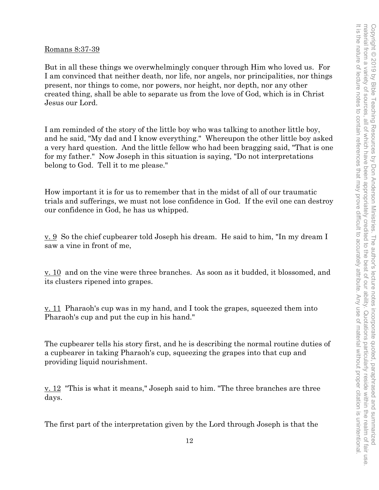#### Romans 8:37-39

But in all these things we overwhelmingly conquer through Him who loved us. For I am convinced that neither death, nor life, nor angels, nor principalities, nor things present, nor things to come, nor powers, nor height, nor depth, nor any other created thing, shall be able to separate us from the love of God, which is in Christ Jesus our Lord.

I am reminded of the story of the little boy who was talking to another little boy, and he said, "My dad and I know everything." Whereupon the other little boy asked a very hard question. And the little fellow who had been bragging said, "That is one for my father." Now Joseph in this situation is saying, "Do not interpretations belong to God. Tell it to me please."

How important it is for us to remember that in the midst of all of our traumatic trials and sufferings, we must not lose confidence in God. If the evil one can destroy our confidence in God, he has us whipped.

v. 9 So the chief cupbearer told Joseph his dream. He said to him, "In my dream I saw a vine in front of me,

v. 10 and on the vine were three branches. As soon as it budded, it blossomed, and its clusters ripened into grapes.

<u>v. 11</u> Pharaoh's cup was in my hand, and I took the grapes, squeezed them into Pharaoh's cup and put the cup in his hand."

The cupbearer tells his story first, and he is describing the normal routine duties of a cupbearer in taking Pharaoh's cup, squeezing the grapes into that cup and providing liquid nourishment.

v. 12 "This is what it means," Joseph said to him. "The three branches are three days.

The first part of the interpretation given by the Lord through Joseph is that the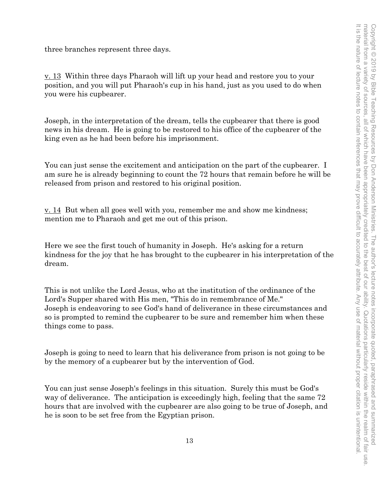three branches represent three days.

v. 13 Within three days Pharaoh will lift up your head and restore you to your position, and you will put Pharaoh's cup in his hand, just as you used to do when you were his cupbearer.

Joseph, in the interpretation of the dream, tells the cupbearer that there is good news in his dream. He is going to be restored to his office of the cupbearer of the king even as he had been before his imprisonment.

You can just sense the excitement and anticipation on the part of the cupbearer. I am sure he is already beginning to count the 72 hours that remain before he will be released from prison and restored to his original position.

v. 14 But when all goes well with you, remember me and show me kindness; mention me to Pharaoh and get me out of this prison.

Here we see the first touch of humanity in Joseph. He's asking for a return kindness for the joy that he has brought to the cupbearer in his interpretation of the dream.

This is not unlike the Lord Jesus, who at the institution of the ordinance of the Lord's Supper shared with His men, "This do in remembrance of Me." Joseph is endeavoring to see God's hand of deliverance in these circumstances and so is prompted to remind the cupbearer to be sure and remember him when these things come to pass.

Joseph is going to need to learn that his deliverance from prison is not going to be by the memory of a cupbearer but by the intervention of God.

You can just sense Joseph's feelings in this situation. Surely this must be God's way of deliverance. The anticipation is exceedingly high, feeling that the same 72 hours that are involved with the cupbearer are also going to be true of Joseph, and he is soon to be set free from the Egyptian prison.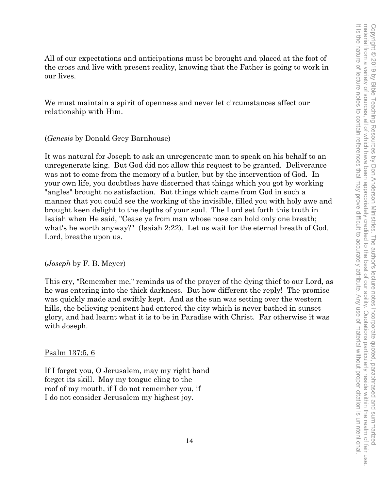All of our expectations and anticipations must be brought and placed at the foot of the cross and live with present reality, knowing that the Father is going to work in our lives.

We must maintain a spirit of openness and never let circumstances affect our relationship with Him.

(*Genesis* by Donald Grey Barnhouse)

It was natural for Joseph to ask an unregenerate man to speak on his behalf to an unregenerate king. But God did not allow this request to be granted. Deliverance was not to come from the memory of a butler, but by the intervention of God. In your own life, you doubtless have discerned that things which you got by working "angles" brought no satisfaction. But things which came from God in such a manner that you could see the working of the invisible, filled you with holy awe and brought keen delight to the depths of your soul. The Lord set forth this truth in Isaiah when He said, "Cease ye from man whose nose can hold only one breath; what's he worth anyway?" (Isaiah 2:22). Let us wait for the eternal breath of God. Lord, breathe upon us.

(*Joseph* by F. B. Meyer)

This cry, "Remember me," reminds us of the prayer of the dying thief to our Lord, as he was entering into the thick darkness. But how different the reply! The promise was quickly made and swiftly kept. And as the sun was setting over the western hills, the believing penitent had entered the city which is never bathed in sunset glory, and had learnt what it is to be in Paradise with Christ. Far otherwise it was with Joseph.

## Psalm 137:5, 6

If I forget you, O Jerusalem, may my right hand forget its skill. May my tongue cling to the roof of my mouth, if I do not remember you, if I do not consider Jerusalem my highest joy.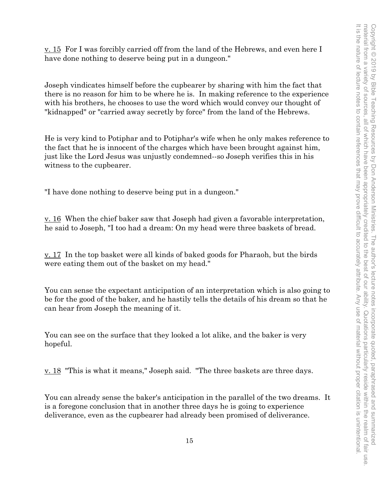v. 15 For I was forcibly carried off from the land of the Hebrews, and even here I have done nothing to deserve being put in a dungeon."

Joseph vindicates himself before the cupbearer by sharing with him the fact that there is no reason for him to be where he is. In making reference to the experience with his brothers, he chooses to use the word which would convey our thought of "kidnapped" or "carried away secretly by force" from the land of the Hebrews.

He is very kind to Potiphar and to Potiphar's wife when he only makes reference to the fact that he is innocent of the charges which have been brought against him, just like the Lord Jesus was unjustly condemned--so Joseph verifies this in his witness to the cupbearer.

"I have done nothing to deserve being put in a dungeon."

v. 16 When the chief baker saw that Joseph had given a favorable interpretation, he said to Joseph, "I too had a dream: On my head were three baskets of bread.

 $\underline{v}$ . 17 In the top basket were all kinds of baked goods for Pharaoh, but the birds were eating them out of the basket on my head."

You can sense the expectant anticipation of an interpretation which is also going to be for the good of the baker, and he hastily tells the details of his dream so that he can hear from Joseph the meaning of it.

You can see on the surface that they looked a lot alike, and the baker is very hopeful.

<u>v. 18</u> "This is what it means," Joseph said. "The three baskets are three days.

You can already sense the baker's anticipation in the parallel of the two dreams. It is a foregone conclusion that in another three days he is going to experience deliverance, even as the cupbearer had already been promised of deliverance.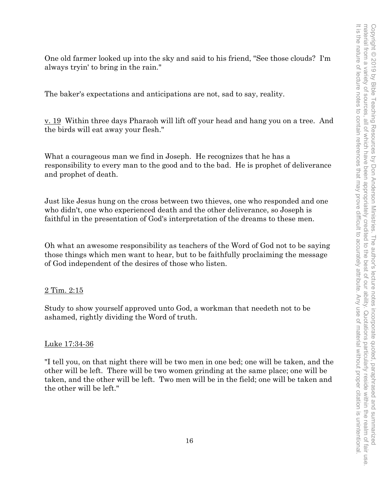One old farmer looked up into the sky and said to his friend, "See those clouds? I'm always tryin' to bring in the rain."

The baker's expectations and anticipations are not, sad to say, reality.

<u>v. 19</u> Within three days Pharaoh will lift off your head and hang you on a tree. And the birds will eat away your flesh."

What a courageous man we find in Joseph. He recognizes that he has a responsibility to every man to the good and to the bad. He is prophet of deliverance and prophet of death.

Just like Jesus hung on the cross between two thieves, one who responded and one who didn't, one who experienced death and the other deliverance, so Joseph is faithful in the presentation of God's interpretation of the dreams to these men.

Oh what an awesome responsibility as teachers of the Word of God not to be saying those things which men want to hear, but to be faithfully proclaiming the message of God independent of the desires of those who listen.

## 2 Tim. 2:15

Study to show yourself approved unto God, a workman that needeth not to be ashamed, rightly dividing the Word of truth.

## Luke 17:34-36

"I tell you, on that night there will be two men in one bed; one will be taken, and the other will be left. There will be two women grinding at the same place; one will be taken, and the other will be left. Two men will be in the field; one will be taken and the other will be left."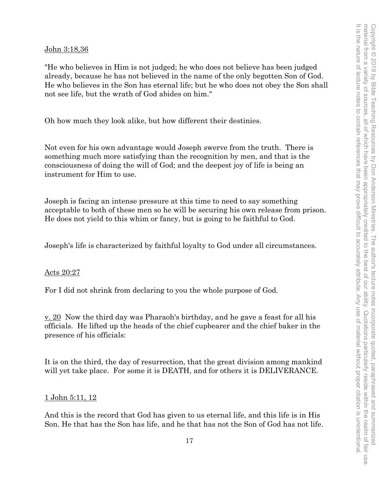#### John 3:18,36

"He who believes in Him is not judged; he who does not believe has been judged already, because he has not believed in the name of the only begotten Son of God. He who believes in the Son has eternal life; but he who does not obey the Son shall not see life, but the wrath of God abides on him."

Oh how much they look alike, but how different their destinies.

Not even for his own advantage would Joseph swerve from the truth. There is something much more satisfying than the recognition by men, and that is the consciousness of doing the will of God; and the deepest joy of life is being an instrument for Him to use.

Joseph is facing an intense pressure at this time to need to say something acceptable to both of these men so he will be securing his own release from prison. He does not yield to this whim or fancy, but is going to be faithful to God.

Joseph's life is characterized by faithful loyalty to God under all circumstances.

#### Acts 20:27

For I did not shrink from declaring to you the whole purpose of God.

v. 20 Now the third day was Pharaoh's birthday, and he gave a feast for all his officials. He lifted up the heads of the chief cupbearer and the chief baker in the presence of his officials:

It is on the third, the day of resurrection, that the great division among mankind will yet take place. For some it is DEATH, and for others it is DELIVERANCE.

### 1 John 5:11, 12

And this is the record that God has given to us eternal life, and this life is in His Son. He that has the Son has life, and he that has not the Son of God has not life.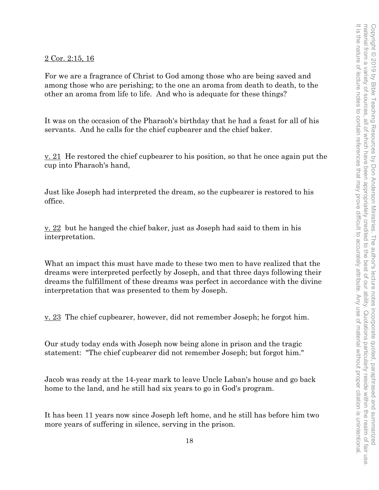## 2 Cor. 2:15, 16

For we are a fragrance of Christ to God among those who are being saved and among those who are perishing; to the one an aroma from death to death, to the other an aroma from life to life. And who is adequate for these things?

It was on the occasion of the Pharaoh's birthday that he had a feast for all of his servants. And he calls for the chief cupbearer and the chief baker.

v. 21 He restored the chief cupbearer to his position, so that he once again put the cup into Pharaoh's hand,

Just like Joseph had interpreted the dream, so the cupbearer is restored to his office.

v. 22 but he hanged the chief baker, just as Joseph had said to them in his interpretation.

What an impact this must have made to these two men to have realized that the dreams were interpreted perfectly by Joseph, and that three days following their dreams the fulfillment of these dreams was perfect in accordance with the divine interpretation that was presented to them by Joseph.

v. 23 The chief cupbearer, however, did not remember Joseph; he forgot him.

Our study today ends with Joseph now being alone in prison and the tragic statement: "The chief cupbearer did not remember Joseph; but forgot him."

Jacob was ready at the 14-year mark to leave Uncle Laban's house and go back home to the land, and he still had six years to go in God's program.

It has been 11 years now since Joseph left home, and he still has before him two more years of suffering in silence, serving in the prison.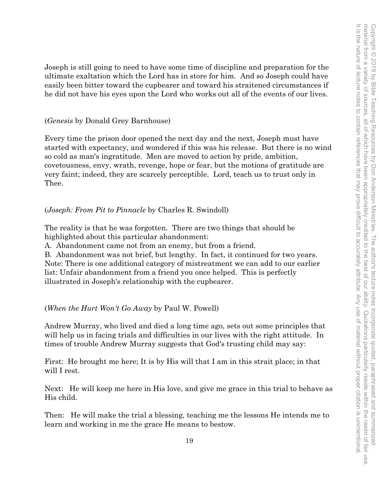Joseph is still going to need to have some time of discipline and preparation for the ultimate exaltation which the Lord has in store for him. And so Joseph could have easily been bitter toward the cupbearer and toward his straitened circumstances if he did not have his eyes upon the Lord who works out all of the events of our lives.

## (*Genesis* by Donald Grey Barnhouse)

Every time the prison door opened the next day and the next, Joseph must have started with expectancy, and wondered if this was his release. But there is no wind so cold as man's ingratitude. Men are moved to action by pride, ambition, covetousness, envy, wrath, revenge, hope or fear, but the motions of gratitude are very faint; indeed, they are scarcely perceptible. Lord, teach us to trust only in Thee.

## (*Joseph: From Pit to Pinnacle* by Charles R. Swindoll)

The reality is that he was forgotten. There are two things that should be highlighted about this particular abandonment:

A. Abandonment came not from an enemy, but from a friend.

B. Abandonment was not brief, but lengthy. In fact, it continued for two years. Note: There is one additional category of mistreatment we can add to our earlier list: Unfair abandonment from a friend you once helped. This is perfectly illustrated in Joseph's relationship with the cupbearer.

## (*When the Hurt Won't Go Away* by Paul W. Powell)

Andrew Murray, who lived and died a long time ago, sets out some principles that will help us in facing trials and difficulties in our lives with the right attitude. In times of trouble Andrew Murray suggests that God's trusting child may say:

First: He brought me here; It is by His will that I am in this strait place; in that will I rest.

Next: He will keep me here in His love, and give me grace in this trial to behave as His child.

Then: He will make the trial a blessing, teaching me the lessons He intends me to learn and working in me the grace He means to bestow.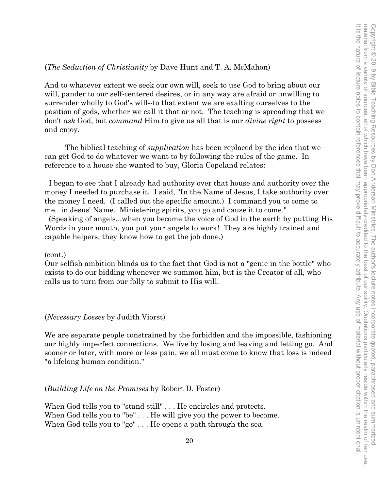## (*The Seduction of Christianity* by Dave Hunt and T. A. McMahon)

And to whatever extent we seek our own will, seek to use God to bring about our will, pander to our self-centered desires, or in any way are afraid or unwilling to surrender wholly to God's will--to that extent we are exalting ourselves to the position of gods, whether we call it that or not. The teaching is spreading that we don't *ask* God, but *command* Him to give us all that is our *divine right* to possess and enjoy.

 The biblical teaching of *supplication* has been replaced by the idea that we can get God to do whatever we want to by following the rules of the game. In reference to a house she wanted to buy, Gloria Copeland relates:

 I began to see that I already had authority over that house and authority over the money I needed to purchase it. I said, "In the Name of Jesus, I take authority over the money I need. (I called out the specific amount.) I command you to come to me...in Jesus' Name. Ministering spirits, you go and cause it to come."

 (Speaking of angels...when you become the voice of God in the earth by putting His Words in your mouth, you put your angels to work! They are highly trained and capable helpers; they know how to get the job done.)

## (cont.)

Our selfish ambition blinds us to the fact that God is not a "genie in the bottle" who exists to do our bidding whenever we summon him, but is the Creator of all, who calls us to turn from our folly to submit to His will.

(*Necessary Losses* by Judith Viorst)

We are separate people constrained by the forbidden and the impossible, fashioning our highly imperfect connections. We live by losing and leaving and letting go. And sooner or later, with more or less pain, we all must come to know that loss is indeed "a lifelong human condition."

#### (*Building Life on the Promises* by Robert D. Foster)

When God tells you to "stand still"... He encircles and protects. When God tells you to "be" . . . He will give you the power to become. When God tells you to "go" . . . He opens a path through the sea.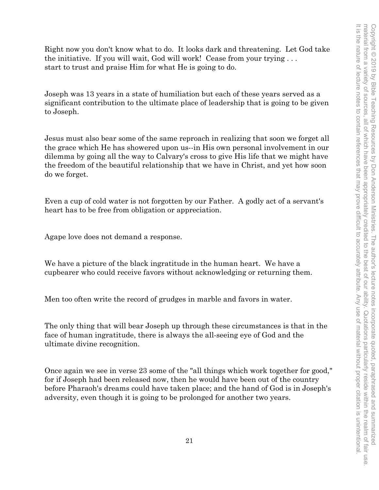Right now you don't know what to do. It looks dark and threatening. Let God take the initiative. If you will wait, God will work! Cease from your trying  $\dots$ start to trust and praise Him for what He is going to do.

Joseph was 13 years in a state of humiliation but each of these years served as a significant contribution to the ultimate place of leadership that is going to be given to Joseph.

Jesus must also bear some of the same reproach in realizing that soon we forget all the grace which He has showered upon us--in His own personal involvement in our dilemma by going all the way to Calvary's cross to give His life that we might have the freedom of the beautiful relationship that we have in Christ, and yet how soon do we forget.

Even a cup of cold water is not forgotten by our Father. A godly act of a servant's heart has to be free from obligation or appreciation.

Agape love does not demand a response.

We have a picture of the black ingratitude in the human heart. We have a cupbearer who could receive favors without acknowledging or returning them.

Men too often write the record of grudges in marble and favors in water.

The only thing that will bear Joseph up through these circumstances is that in the face of human ingratitude, there is always the all-seeing eye of God and the ultimate divine recognition.

Once again we see in verse 23 some of the "all things which work together for good," for if Joseph had been released now, then he would have been out of the country before Pharaoh's dreams could have taken place; and the hand of God is in Joseph's adversity, even though it is going to be prolonged for another two years.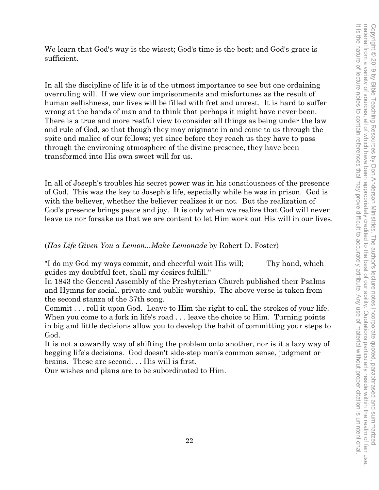We learn that God's way is the wisest; God's time is the best; and God's grace is sufficient.

In all the discipline of life it is of the utmost importance to see but one ordaining overruling will. If we view our imprisonments and misfortunes as the result of human selfishness, our lives will be filled with fret and unrest. It is hard to suffer wrong at the hands of man and to think that perhaps it might have never been. There is a true and more restful view to consider all things as being under the law and rule of God, so that though they may originate in and come to us through the spite and malice of our fellows; yet since before they reach us they have to pass through the environing atmosphere of the divine presence, they have been transformed into His own sweet will for us.

In all of Joseph's troubles his secret power was in his consciousness of the presence of God. This was the key to Joseph's life, especially while he was in prison. God is with the believer, whether the believer realizes it or not. But the realization of God's presence brings peace and joy. It is only when we realize that God will never leave us nor forsake us that we are content to let Him work out His will in our lives.

## (*Has Life Given You a Lemon...Make Lemonade* by Robert D. Foster)

"I do my God my ways commit, and cheerful wait His will; Thy hand, which guides my doubtful feet, shall my desires fulfill."

In 1843 the General Assembly of the Presbyterian Church published their Psalms and Hymns for social, private and public worship. The above verse is taken from the second stanza of the 37th song.

Commit . . . roll it upon God. Leave to Him the right to call the strokes of your life. When you come to a fork in life's road . . . leave the choice to Him. Turning points in big and little decisions allow you to develop the habit of committing your steps to God.

It is not a cowardly way of shifting the problem onto another, nor is it a lazy way of begging life's decisions. God doesn't side-step man's common sense, judgment or brains. These are second. . . His will is first.

Our wishes and plans are to be subordinated to Him.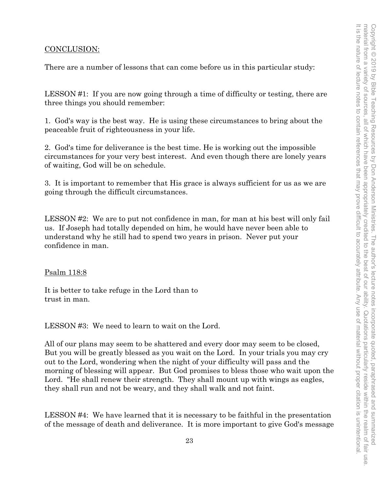#### CONCLUSION:

There are a number of lessons that can come before us in this particular study:

LESSON #1: If you are now going through a time of difficulty or testing, there are three things you should remember:

1. God's way is the best way. He is using these circumstances to bring about the peaceable fruit of righteousness in your life.

2. God's time for deliverance is the best time. He is working out the impossible circumstances for your very best interest. And even though there are lonely years of waiting, God will be on schedule.

3. It is important to remember that His grace is always sufficient for us as we are going through the difficult circumstances.

LESSON #2: We are to put not confidence in man, for man at his best will only fail us. If Joseph had totally depended on him, he would have never been able to understand why he still had to spend two years in prison. Never put your confidence in man.

Psalm 118:8

It is better to take refuge in the Lord than to trust in man.

LESSON #3: We need to learn to wait on the Lord.

All of our plans may seem to be shattered and every door may seem to be closed, But you will be greatly blessed as you wait on the Lord. In your trials you may cry out to the Lord, wondering when the night of your difficulty will pass and the morning of blessing will appear. But God promises to bless those who wait upon the Lord. "He shall renew their strength. They shall mount up with wings as eagles, they shall run and not be weary, and they shall walk and not faint.

LESSON #4: We have learned that it is necessary to be faithful in the presentation of the message of death and deliverance. It is more important to give God's message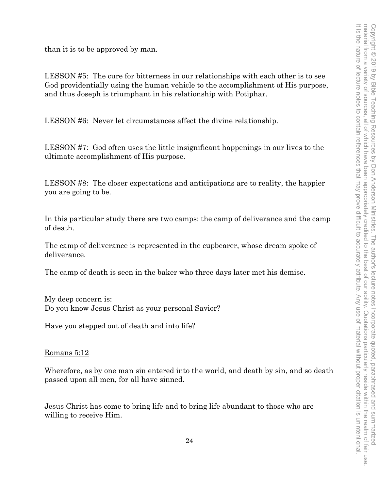than it is to be approved by man.

LESSON #5: The cure for bitterness in our relationships with each other is to see God providentially using the human vehicle to the accomplishment of His purpose, and thus Joseph is triumphant in his relationship with Potiphar.

LESSON #6: Never let circumstances affect the divine relationship.

LESSON #7: God often uses the little insignificant happenings in our lives to the ultimate accomplishment of His purpose.

LESSON #8: The closer expectations and anticipations are to reality, the happier you are going to be.

In this particular study there are two camps: the camp of deliverance and the camp of death.

The camp of deliverance is represented in the cupbearer, whose dream spoke of deliverance.

The camp of death is seen in the baker who three days later met his demise.

My deep concern is: Do you know Jesus Christ as your personal Savior?

Have you stepped out of death and into life?

### Romans 5:12

Wherefore, as by one man sin entered into the world, and death by sin, and so death passed upon all men, for all have sinned.

Jesus Christ has come to bring life and to bring life abundant to those who are willing to receive Him.